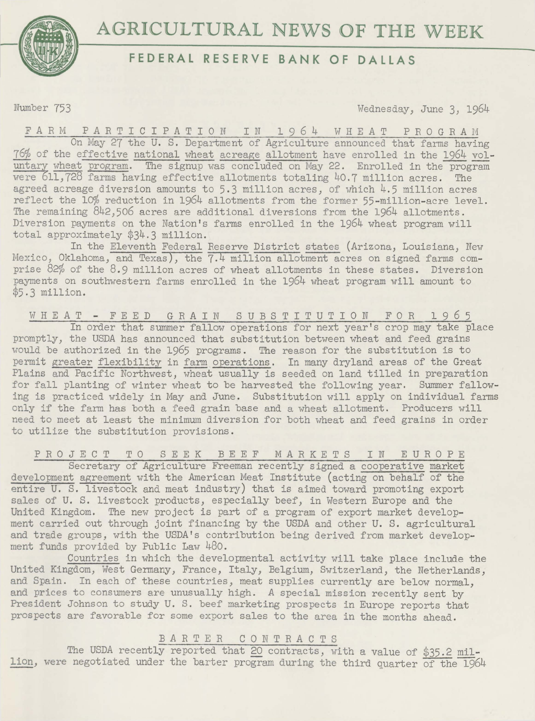

## **FEDERAL RESERVE BANK OF DALLAS**

Number 753 Wednesday, June 3, 1964

F A R M P A R T I C I P A T I 0 N I N 1 9 6 4 W H E A T P R 0 G R *A* M On May 27 the U. S. Department of Agriculture announced that farms having 76% of the effective national wheat acreage allotment have enrolled in the 1964 voluntary wheat program. The signup was concluded on May 22. Enrolled in the program were 611,728 farms having effective allotments totaling 40.7 million acres. The agreed acreage diversion amounts to  $5.3$  million acres, of which  $4.5$  million acres reflect the 10% reduction in 1964 allotments from the former 55-million-acre level. The remaining 842,506 acres are additional diversions from the 1964 allotments. Diversion payments on the Nation's farms enrolled in the 1964 wheat program will total approximately \$34.3 million.

In the Eleventh Federal Reserve District states (Arizona, Louisiana, New Mexico, Oklahoma, and Texas), the 7.4 million allotment acres on signed farms comprise 82% of the 8.9 million acres of wheat allotments in these states. Diversion payments on southwestern farms enrolled in the 1964 wheat program will amount to \$5.3 million.

W H E *A* T F E E D G R *A* I N S U B S T I T U T I 0 N F 0 R 1 9 *6* 5 In order that summer fallow operations for next year's crop may take place promptly, the USDA has announced that substitution between wheat and feed grains would be authorized in the 1965 programs. The reason for the substitution is to permit greater flexibility in farm operations. In many dryland areas of the Great Plains and Pacific Northwest, wheat usually is seeded on land tilled in preparation for fall planting of winter wheat to be harvested the following year. Summer fallowing is practiced widely in May and June. Substitution will apply on individual farms only if the farm has both a feed grain base and a wheat allotment. Producers will need to meet at least the minimum diversion for both wheat and feed grains in order to utilize the substitution provisions.

PROJECT TO SEEK BEEF MARKETS IN EUROPE

Secretary of Agriculture Freeman recently signed a cooperative market development agreement with the American Meat Institute (acting on behalf of the entire U. S. livestock and meat industry) that is aimed toward promoting export sales of U. S. livestock products, especially beef, in Western Europe and the United Kingdom. The new project is part of a program of export market development carried out through joint financing by the USDA and other U. S. agricultural and trade groups, with the USDA's contribution being derived from market development funds provided by Public Law 480.

Countries in which the developmental activity will take place include the United Kingdom, West Germany, France, Italy, Belgium, Switzerland, the Netherlands, and Spain. In each of these countries, meat supplies currently are below normal, and prices to consumers are unusually high. *A* special mission recently sent by President Johnson to study U. S. beef marketing prospects in Europe reports that prospects are favorable for some export sales to the area in the months ahead.

## BARTER C 0 N T R A C T S

The USDA recently reported that 20 contracts, with a value of \$35.2 million, were negotiated under the barter program during the third quarter of the 1964